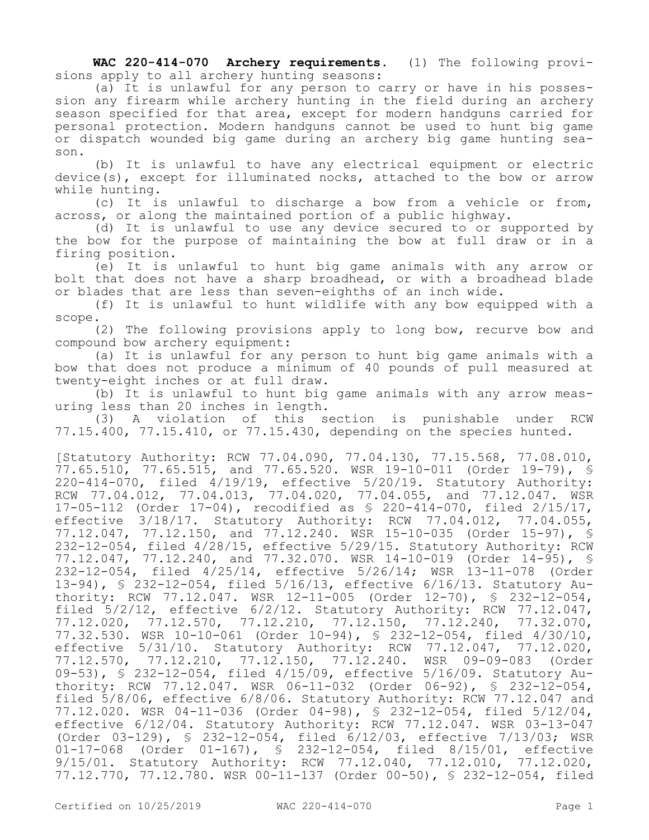**WAC 220-414-070 Archery requirements.** (1) The following provisions apply to all archery hunting seasons:

(a) It is unlawful for any person to carry or have in his possession any firearm while archery hunting in the field during an archery season specified for that area, except for modern handguns carried for personal protection. Modern handguns cannot be used to hunt big game or dispatch wounded big game during an archery big game hunting season.

(b) It is unlawful to have any electrical equipment or electric device(s), except for illuminated nocks, attached to the bow or arrow while hunting.

(c) It is unlawful to discharge a bow from a vehicle or from, across, or along the maintained portion of a public highway.

(d) It is unlawful to use any device secured to or supported by the bow for the purpose of maintaining the bow at full draw or in a firing position.

(e) It is unlawful to hunt big game animals with any arrow or bolt that does not have a sharp broadhead, or with a broadhead blade or blades that are less than seven-eighths of an inch wide.

(f) It is unlawful to hunt wildlife with any bow equipped with a scope.

(2) The following provisions apply to long bow, recurve bow and compound bow archery equipment:

(a) It is unlawful for any person to hunt big game animals with a bow that does not produce a minimum of 40 pounds of pull measured at twenty-eight inches or at full draw.

(b) It is unlawful to hunt big game animals with any arrow measuring less than 20 inches in length.

(3) A violation of this section is punishable under RCW 77.15.400, 77.15.410, or 77.15.430, depending on the species hunted.

[Statutory Authority: RCW 77.04.090, 77.04.130, 77.15.568, 77.08.010,  $77.65.510$ ,  $77.65.515$ , and  $77.65.520$ . WSR 19-10-011 (Order 19-79), § 220-414-070, filed 4/19/19, effective 5/20/19. Statutory Authority: RCW 77.04.012, 77.04.013, 77.04.020, 77.04.055, and 77.12.047. WSR 17-05-112 (Order 17-04), recodified as § 220-414-070, filed 2/15/17, effective 3/18/17. Statutory Authority: RCW 77.04.012, 77.04.055, 77.12.047, 77.12.150, and 77.12.240. WSR 15-10-035 (Order 15-97), § 232-12-054, filed 4/28/15, effective 5/29/15. Statutory Authority: RCW 77.12.047, 77.12.240, and 77.32.070. WSR 14-10-019 (Order 14-95), § 232-12-054, filed 4/25/14, effective 5/26/14; WSR 13-11-078 (Order 13-94), § 232-12-054, filed 5/16/13, effective 6/16/13. Statutory Authority: RCW 77.12.047. WSR 12-11-005 (Order 12-70), § 232-12-054, filed 5/2/12, effective 6/2/12. Statutory Authority: RCW 77.12.047, 77.12.020, 77.12.570, 77.12.210, 77.12.150, 77.12.240, 77.32.070, 77.32.530. WSR 10-10-061 (Order 10-94), § 232-12-054, filed 4/30/10, effective 5/31/10. Statutory Authority: RCW 77.12.047, 77.12.020, 77.12.570, 77.12.210, 77.12.150, 77.12.240. WSR 09-09-083 (Order 09-53), § 232-12-054, filed 4/15/09, effective 5/16/09. Statutory Authority: RCW 77.12.047. WSR 06-11-032 (Order 06-92), § 232-12-054, filed 5/8/06, effective 6/8/06. Statutory Authority: RCW 77.12.047 and 77.12.020. WSR 04-11-036 (Order 04-98), § 232-12-054, filed 5/12/04, effective 6/12/04. Statutory Authority: RCW 77.12.047. WSR 03-13-047 (Order 03-129), § 232-12-054, filed 6/12/03, effective 7/13/03; WSR 01-17-068 (Order 01-167), § 232-12-054, filed 8/15/01, effective 9/15/01. Statutory Authority: RCW 77.12.040, 77.12.010, 77.12.020, 77.12.770, 77.12.780. WSR 00-11-137 (Order 00-50), § 232-12-054, filed